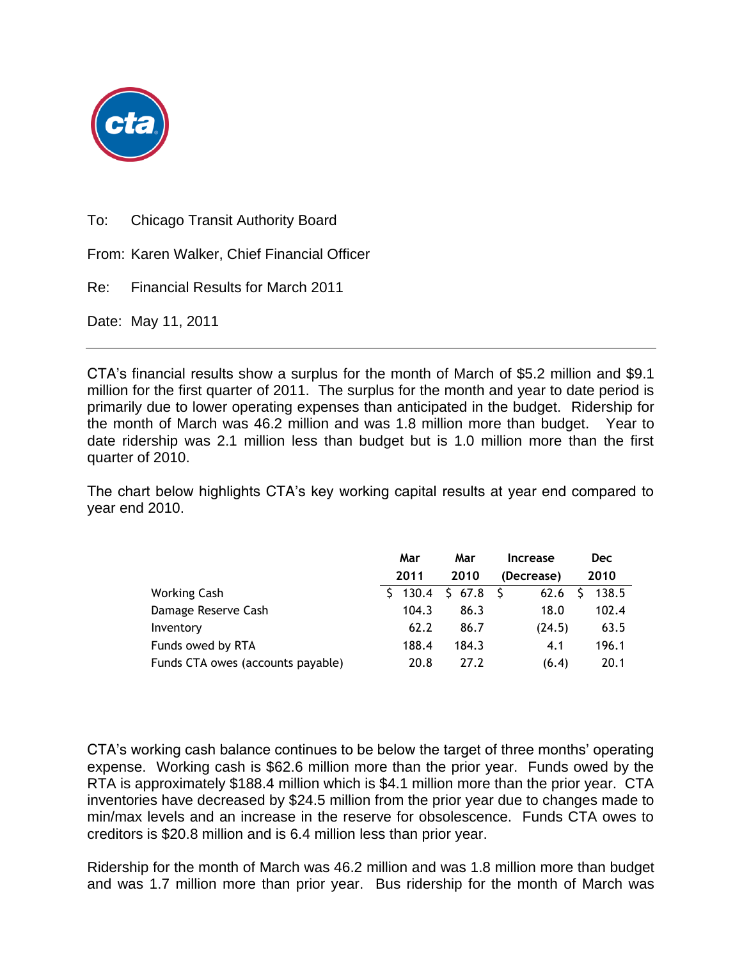

To: Chicago Transit Authority Board

From: Karen Walker, Chief Financial Officer

Re: Financial Results for March 2011

Date: May 11, 2011

CTA's financial results show a surplus for the month of March of \$5.2 million and \$9.1 million for the first quarter of 2011. The surplus for the month and year to date period is primarily due to lower operating expenses than anticipated in the budget. Ridership for the month of March was 46.2 million and was 1.8 million more than budget. Year to date ridership was 2.1 million less than budget but is 1.0 million more than the first quarter of 2010.

The chart below highlights CTA's key working capital results at year end compared to year end 2010.

|                                   | Mar     | Mar    | Increase   | <b>Dec</b> |
|-----------------------------------|---------|--------|------------|------------|
|                                   | 2011    | 2010   | (Decrease) | 2010       |
| Working Cash                      | \$130.4 | \$67.8 | 62.6       | 138.5      |
| Damage Reserve Cash               | 104.3   | 86.3   | 18.0       | 102.4      |
| Inventory                         | 62.2    | 86.7   | (24.5)     | 63.5       |
| Funds owed by RTA                 | 188.4   | 184.3  | 4.1        | 196.1      |
| Funds CTA owes (accounts payable) | 20.8    | 27.2   | (6.4)      | 20.1       |

CTA's working cash balance continues to be below the target of three months' operating expense. Working cash is \$62.6 million more than the prior year. Funds owed by the RTA is approximately \$188.4 million which is \$4.1 million more than the prior year. CTA inventories have decreased by \$24.5 million from the prior year due to changes made to min/max levels and an increase in the reserve for obsolescence. Funds CTA owes to creditors is \$20.8 million and is 6.4 million less than prior year.

Ridership for the month of March was 46.2 million and was 1.8 million more than budget and was 1.7 million more than prior year. Bus ridership for the month of March was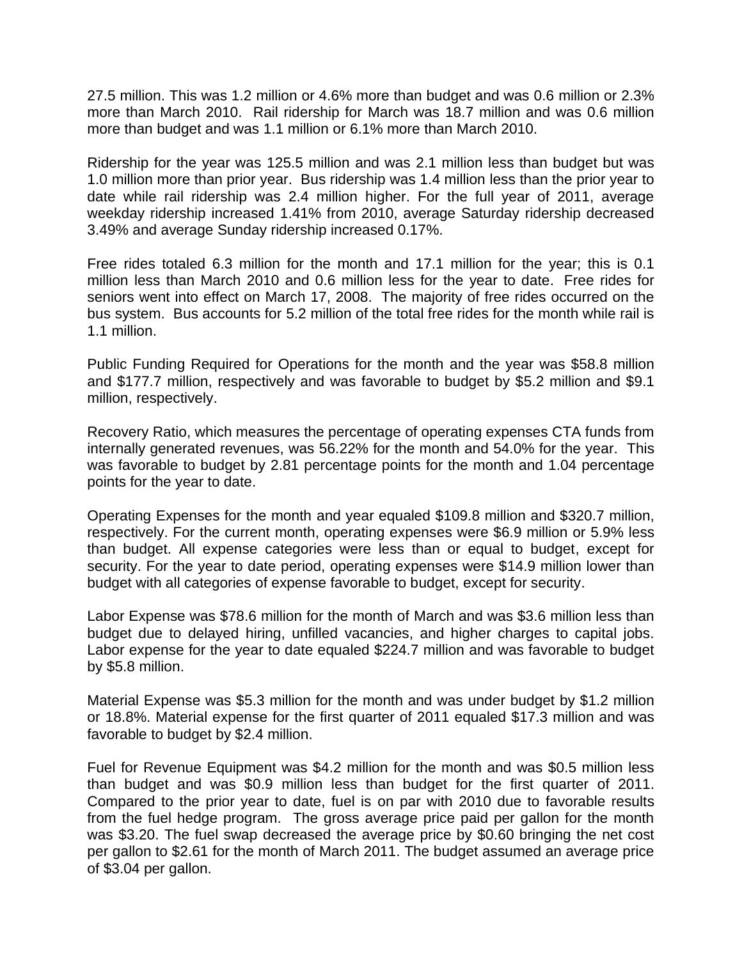27.5 million. This was 1.2 million or 4.6% more than budget and was 0.6 million or 2.3% more than March 2010. Rail ridership for March was 18.7 million and was 0.6 million more than budget and was 1.1 million or 6.1% more than March 2010.

Ridership for the year was 125.5 million and was 2.1 million less than budget but was 1.0 million more than prior year. Bus ridership was 1.4 million less than the prior year to date while rail ridership was 2.4 million higher. For the full year of 2011, average weekday ridership increased 1.41% from 2010, average Saturday ridership decreased 3.49% and average Sunday ridership increased 0.17%.

Free rides totaled 6.3 million for the month and 17.1 million for the year; this is 0.1 million less than March 2010 and 0.6 million less for the year to date. Free rides for seniors went into effect on March 17, 2008. The majority of free rides occurred on the bus system. Bus accounts for 5.2 million of the total free rides for the month while rail is 1.1 million.

Public Funding Required for Operations for the month and the year was \$58.8 million and \$177.7 million, respectively and was favorable to budget by \$5.2 million and \$9.1 million, respectively.

Recovery Ratio, which measures the percentage of operating expenses CTA funds from internally generated revenues, was 56.22% for the month and 54.0% for the year. This was favorable to budget by 2.81 percentage points for the month and 1.04 percentage points for the year to date.

Operating Expenses for the month and year equaled \$109.8 million and \$320.7 million, respectively. For the current month, operating expenses were \$6.9 million or 5.9% less than budget. All expense categories were less than or equal to budget, except for security. For the year to date period, operating expenses were \$14.9 million lower than budget with all categories of expense favorable to budget, except for security.

Labor Expense was \$78.6 million for the month of March and was \$3.6 million less than budget due to delayed hiring, unfilled vacancies, and higher charges to capital jobs. Labor expense for the year to date equaled \$224.7 million and was favorable to budget by \$5.8 million.

Material Expense was \$5.3 million for the month and was under budget by \$1.2 million or 18.8%. Material expense for the first quarter of 2011 equaled \$17.3 million and was favorable to budget by \$2.4 million.

Fuel for Revenue Equipment was \$4.2 million for the month and was \$0.5 million less than budget and was \$0.9 million less than budget for the first quarter of 2011. Compared to the prior year to date, fuel is on par with 2010 due to favorable results from the fuel hedge program. The gross average price paid per gallon for the month was \$3.20. The fuel swap decreased the average price by \$0.60 bringing the net cost per gallon to \$2.61 for the month of March 2011. The budget assumed an average price of \$3.04 per gallon.